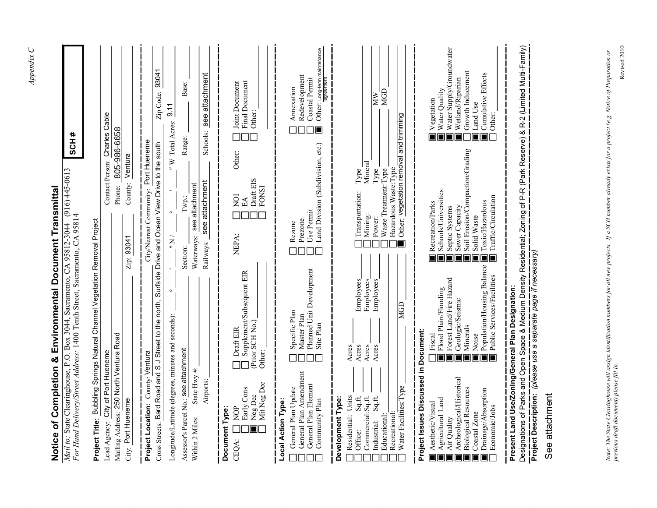| Mail to: State Clearinghouse, P.O. Box 3044, Sacramento, CA 95812-3044 (916) 445-0613<br>Notice of Completion & Environmental Document Transmittal<br>For Hand Delivery/Street Address: 1400 Tenth Street, Sacramento, CA 95814                                                                                                                                                         | #<br><b>HOS</b>                                                                                                                                                                                                                                                                                                                     |  |
|-----------------------------------------------------------------------------------------------------------------------------------------------------------------------------------------------------------------------------------------------------------------------------------------------------------------------------------------------------------------------------------------|-------------------------------------------------------------------------------------------------------------------------------------------------------------------------------------------------------------------------------------------------------------------------------------------------------------------------------------|--|
| Project Title: Bubbling Springs Natural Channel Vegetation Removal Project                                                                                                                                                                                                                                                                                                              |                                                                                                                                                                                                                                                                                                                                     |  |
| Mailing Address: 250 North Ventura Road<br>City of Port Hueneme<br>Lead Agency:                                                                                                                                                                                                                                                                                                         | Contact Person: Charles Cable<br>805-986-6658<br>Phone:                                                                                                                                                                                                                                                                             |  |
| City: Port Hueneme                                                                                                                                                                                                                                                                                                                                                                      | Ventura<br>County:<br>Zip: 93041                                                                                                                                                                                                                                                                                                    |  |
| Cross Streets: Bard Road and S J Street to the north, Surfside Drive and Ocean View Drive to the south<br>Project Location: County: Ventura                                                                                                                                                                                                                                             | Zip Code: 93041<br>City/Nearest Community: Port Hueneme                                                                                                                                                                                                                                                                             |  |
| $\circ$<br>Longitude/Latitude (degrees, minutes and seconds):                                                                                                                                                                                                                                                                                                                           | 9.11<br>W Total Acres:<br>$\overline{a}$<br>$\overline{N}$ "                                                                                                                                                                                                                                                                        |  |
| Assessor's Parcel No.: see attachment<br>State Hwy #:<br>Within 2 Miles:                                                                                                                                                                                                                                                                                                                | Base:<br>Range:<br>see attachment<br>$\mathsf{Twp}$ :<br>Waterways:<br>Section:                                                                                                                                                                                                                                                     |  |
| Airports:                                                                                                                                                                                                                                                                                                                                                                               | Schools: see attachment<br>see attachment<br>Railways:                                                                                                                                                                                                                                                                              |  |
| Supplement/Subsequent EIR<br>(Prior SCH No.)<br>Draft EIR<br>Other:<br>Mit Neg Dec<br>Early Cons<br>Neg Dec<br><b>PON</b><br>Document Type<br>CEQA:                                                                                                                                                                                                                                     | Final Document<br>Joint Document<br>Other:<br>Other:<br>Draft EIS<br><b>FONSI</b><br>ΣQ<br>$E\mathbf{A}$<br>NEPA:                                                                                                                                                                                                                   |  |
| Planned Unit Development<br>Specific Plan<br>Master Plan<br>Site Plan<br>General Plan Amendment<br>General Plan Element<br>General Plan Update<br>Community Plan<br>Local Action Type:                                                                                                                                                                                                  | Redevelopment<br>Coastal Permit<br>Annexation<br>10<br>Land Division (Subdivision, etc.)<br>Use Permit<br>Prezone<br>Rezone                                                                                                                                                                                                         |  |
| Employees<br>Employees<br>Employees<br>Acres.<br>Acres<br>Acres<br>Acres<br>Residential: Units<br>Sq.ft.<br>Commercial:Sq.ft.<br>Sq.ft.<br>Development Type:<br>Educational:<br>Recreational<br>Industrial:<br>Office:                                                                                                                                                                  | <b>MGD</b><br>χW<br>Mineral<br>Type.<br>Hazardous Waste:Type<br>Waste Treatment: Type<br>${\rm Type}$<br>Transportation:<br>Mining:<br>Power:                                                                                                                                                                                       |  |
| <b>MGD</b><br>Water Facilities: Type                                                                                                                                                                                                                                                                                                                                                    | Other: vegetation removal and trimming                                                                                                                                                                                                                                                                                              |  |
| Population/Housing Balance<br>Public Services/Facilities<br>Forest Land/Fire Hazard<br>Flood Plain/Flooding<br>Geologic/Seismic<br>Minerals<br>Project Issues Discussed in Document:<br>Noise<br>Fiscal<br>□<br>Archeological/Historical<br><b>Biological Resources</b><br>Drainage/Absorption<br>Agricultural Land<br>Aesthetic/Visual<br>Economic/Jobs<br>Coastal Zone<br>Air Quality | Water Supply/Groundwater<br>Growth Inducement<br>Cumulative Effects<br>Wetland/Riparian<br>Water Quality<br>Vegetation<br>Land Use<br>Other:<br>10<br>Soil Erosion/Compaction/Grading<br>Schools/Universities<br>Traffic/Circulation<br>Toxic/Hazardous<br>Recreation/Parks<br>Sewer Capacity<br>Septic Systems<br>Solid Waste<br>П |  |
| Present Land Use/Zoning/General Plan Designation:                                                                                                                                                                                                                                                                                                                                       | <u>Designations of Parks and Open Space &amp; Medium Density Residential; Zoning of P-R (Park Reserve) &amp; R-2 (Limited Multi-Family)</u><br>Designations of Parks and Open Space & Medium Density Residential; Zoning of P-R (Park Reserve)                                                                                      |  |
| See attachment                                                                                                                                                                                                                                                                                                                                                                          |                                                                                                                                                                                                                                                                                                                                     |  |

 $Appendix \ C$ *Appendix C* 

Revised 2010

Revised 2010 Note: The State Clearinghouse will assign identification numbers for all new projects. If a SCH number already exists for a project (e.g. Notice of Preparation or<br>previous draft document) please fill in. *Note: The State Clearinghouse will assign identification numbers for all new projects. If a SCH number already exists for a project (e.g. Notice of Preparation or previous draft document) please fill in.*